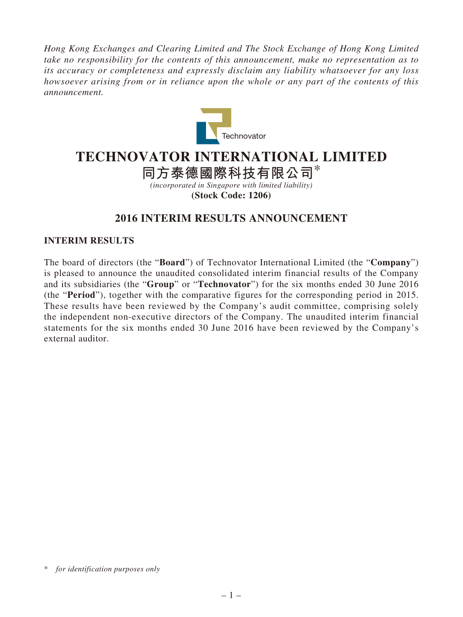*Hong Kong Exchanges and Clearing Limited and The Stock Exchange of Hong Kong Limited take no responsibility for the contents of this announcement, make no representation as to its accuracy or completeness and expressly disclaim any liability whatsoever for any loss howsoever arising from or in reliance upon the whole or any part of the contents of this announcement.*



# **TECHNOVATOR INTERNATIONAL LIMITED**

**同方泰德國際科技有限公司**\*

*(incorporated in Singapore with limited liability)* **(Stock Code: 1206)**

# **2016 INTERIM RESULTS ANNOUNCEMENT**

# **INTERIM RESULTS**

The board of directors (the "**Board**") of Technovator International Limited (the "**Company**") is pleased to announce the unaudited consolidated interim financial results of the Company and its subsidiaries (the "**Group**" or "**Technovator**") for the six months ended 30 June 2016 (the "**Period**"), together with the comparative figures for the corresponding period in 2015. These results have been reviewed by the Company's audit committee, comprising solely the independent non-executive directors of the Company. The unaudited interim financial statements for the six months ended 30 June 2016 have been reviewed by the Company's external auditor.

<sup>\*</sup> *for identification purposes only*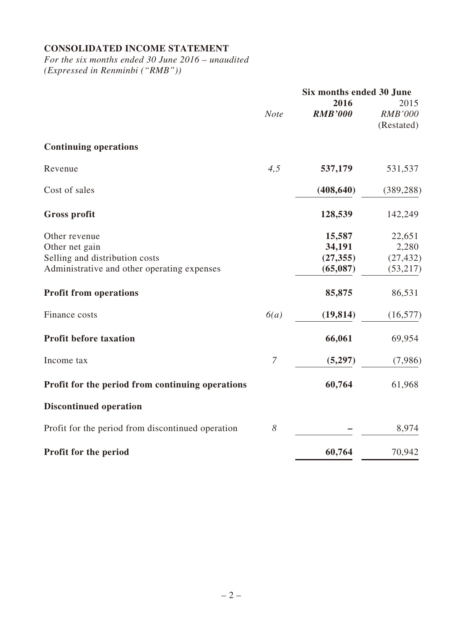# **CONSOLIDATED INCOME STATEMENT**

*For the six months ended 30 June 2016 – unaudited (Expressed in Renminbi ("RMB"))*

|                                                                                                                  |                       | Six months ended 30 June                  |                                          |
|------------------------------------------------------------------------------------------------------------------|-----------------------|-------------------------------------------|------------------------------------------|
|                                                                                                                  | <b>Note</b>           | 2016<br><b>RMB'000</b>                    | 2015<br><b>RMB'000</b><br>(Restated)     |
| <b>Continuing operations</b>                                                                                     |                       |                                           |                                          |
| Revenue                                                                                                          | 4,5                   | 537,179                                   | 531,537                                  |
| Cost of sales                                                                                                    |                       | (408, 640)                                | (389, 288)                               |
| <b>Gross profit</b>                                                                                              |                       | 128,539                                   | 142,249                                  |
| Other revenue<br>Other net gain<br>Selling and distribution costs<br>Administrative and other operating expenses |                       | 15,587<br>34,191<br>(27, 355)<br>(65,087) | 22,651<br>2,280<br>(27, 432)<br>(53,217) |
| <b>Profit from operations</b>                                                                                    |                       | 85,875                                    | 86,531                                   |
| Finance costs                                                                                                    | 6(a)                  | (19, 814)                                 | (16, 577)                                |
| <b>Profit before taxation</b>                                                                                    |                       | 66,061                                    | 69,954                                   |
| Income tax                                                                                                       | $\overline{7}$        | (5,297)                                   | (7,986)                                  |
| Profit for the period from continuing operations                                                                 |                       | 60,764                                    | 61,968                                   |
| <b>Discontinued operation</b>                                                                                    |                       |                                           |                                          |
| Profit for the period from discontinued operation                                                                | $\boldsymbol{\delta}$ |                                           | 8,974                                    |
| Profit for the period                                                                                            |                       | 60,764                                    | 70,942                                   |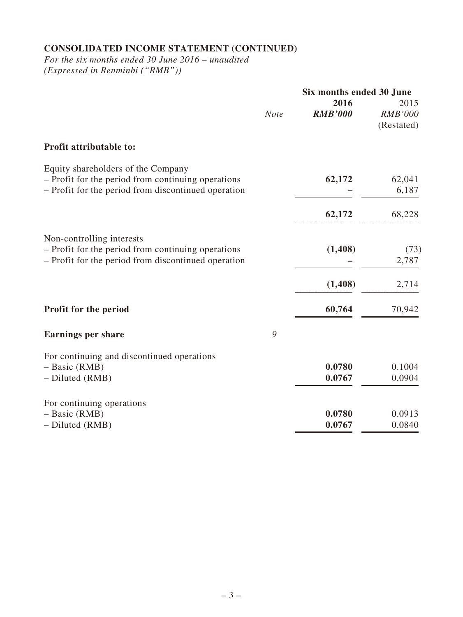# **CONSOLIDATED INCOME STATEMENT (CONTINUED)**

*For the six months ended 30 June 2016 – unaudited (Expressed in Renminbi ("RMB"))*

|                                                     | Six months ended 30 June |                        |                                      |
|-----------------------------------------------------|--------------------------|------------------------|--------------------------------------|
|                                                     | <b>Note</b>              | 2016<br><b>RMB'000</b> | 2015<br><b>RMB'000</b><br>(Restated) |
| Profit attributable to:                             |                          |                        |                                      |
| Equity shareholders of the Company                  |                          |                        |                                      |
| - Profit for the period from continuing operations  |                          | 62,172                 | 62,041                               |
| - Profit for the period from discontinued operation |                          |                        | 6,187                                |
|                                                     |                          | 62,172                 | 68,228                               |
| Non-controlling interests                           |                          |                        |                                      |
| - Profit for the period from continuing operations  |                          | (1,408)                | (73)                                 |
| - Profit for the period from discontinued operation |                          |                        | 2,787                                |
|                                                     |                          | (1,408)                | 2,714                                |
| Profit for the period                               |                          | 60,764                 | 70,942                               |
| <b>Earnings per share</b>                           | 9                        |                        |                                      |
| For continuing and discontinued operations          |                          |                        |                                      |
| $-$ Basic (RMB)                                     |                          | 0.0780                 | 0.1004                               |
| - Diluted (RMB)                                     |                          | 0.0767                 | 0.0904                               |
| For continuing operations                           |                          |                        |                                      |
| $-$ Basic (RMB)                                     |                          | 0.0780                 | 0.0913                               |
| - Diluted (RMB)                                     |                          | 0.0767                 | 0.0840                               |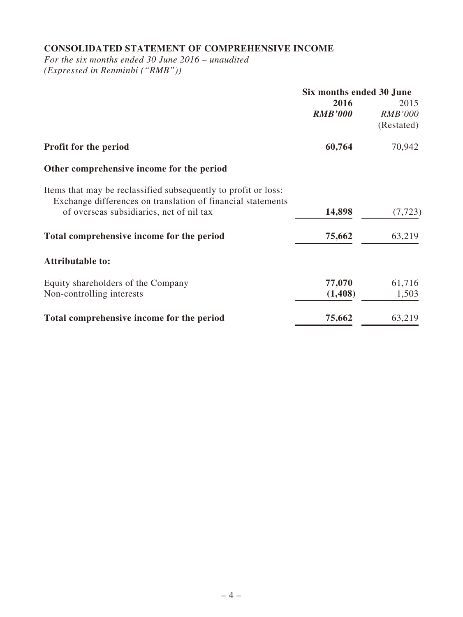# **CONSOLIDATED STATEMENT OF COMPREHENSIVE INCOME**

*For the six months ended 30 June 2016 – unaudited (Expressed in Renminbi ("RMB"))*

| Six months ended 30 June |                |  |
|--------------------------|----------------|--|
| 2016                     | 2015           |  |
| <b>RMB'000</b>           | <b>RMB'000</b> |  |
|                          | (Restated)     |  |
| 60,764                   | 70,942         |  |
|                          |                |  |
|                          |                |  |
|                          |                |  |
|                          | (7, 723)       |  |
| 75,662                   | 63,219         |  |
|                          |                |  |
| 77,070                   | 61,716         |  |
| (1, 408)                 | 1,503          |  |
| 75,662                   | 63,219         |  |
|                          | 14,898         |  |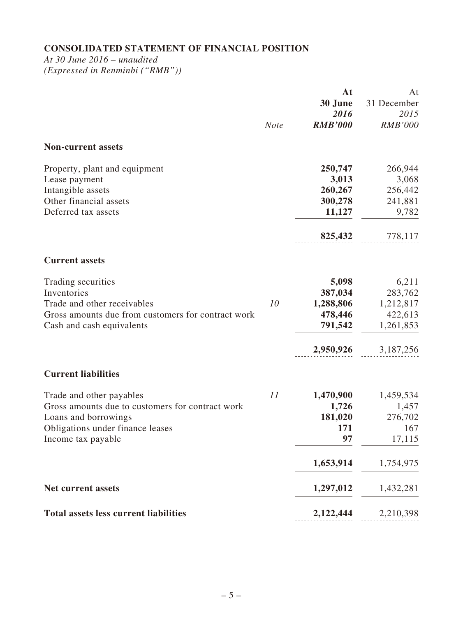# **CONSOLIDATED STATEMENT OF FINANCIAL POSITION**

*At 30 June 2016 – unaudited (Expressed in Renminbi ("RMB"))*

|                                                    |             | At<br>30 June<br>2016 | At<br>31 December<br>2015<br><b>RMB'000</b> |
|----------------------------------------------------|-------------|-----------------------|---------------------------------------------|
|                                                    | <b>Note</b> | <b>RMB'000</b>        |                                             |
| <b>Non-current assets</b>                          |             |                       |                                             |
| Property, plant and equipment                      |             | 250,747               | 266,944                                     |
| Lease payment                                      |             | 3,013                 | 3,068                                       |
| Intangible assets                                  |             | 260,267               | 256,442                                     |
| Other financial assets                             |             | 300,278               | 241,881                                     |
| Deferred tax assets                                |             | 11,127                | 9,782                                       |
|                                                    |             | 825,432               | 778,117                                     |
| <b>Current assets</b>                              |             |                       |                                             |
| Trading securities                                 |             | 5,098                 | 6,211                                       |
| Inventories                                        |             | 387,034               | 283,762                                     |
| Trade and other receivables                        | 10          | 1,288,806             | 1,212,817                                   |
| Gross amounts due from customers for contract work |             | 478,446               | 422,613                                     |
| Cash and cash equivalents                          |             | 791,542               | 1,261,853                                   |
|                                                    |             | 2,950,926             | 3,187,256                                   |
| <b>Current liabilities</b>                         |             |                       |                                             |
| Trade and other payables                           | 11          | 1,470,900             | 1,459,534                                   |
| Gross amounts due to customers for contract work   |             | 1,726                 | 1,457                                       |
| Loans and borrowings                               |             | 181,020               | 276,702                                     |
| Obligations under finance leases                   |             | 171                   | 167                                         |
| Income tax payable                                 |             | 97                    | 17,115                                      |
|                                                    |             | 1,653,914             | 1,754,975                                   |
| <b>Net current assets</b>                          |             | 1,297,012             | 1,432,281                                   |
| <b>Total assets less current liabilities</b>       |             | 2,122,444             | 2,210,398                                   |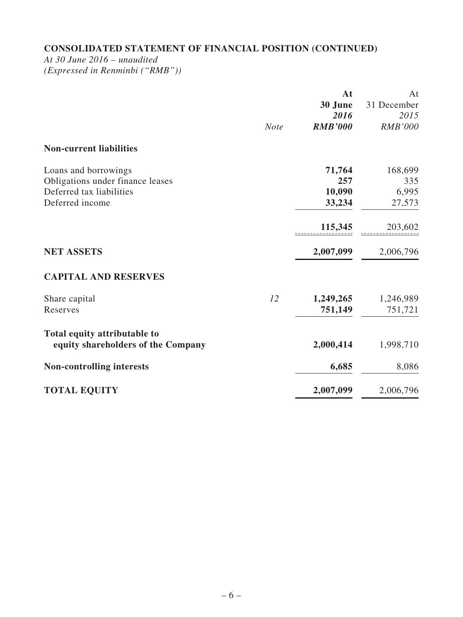# **CONSOLIDATED STATEMENT OF FINANCIAL POSITION (CONTINUED)**

*At 30 June 2016 – unaudited*

*(Expressed in Renminbi ("RMB"))*

|                                                                                                         | <b>Note</b> | At<br>30 June<br>2016<br><b>RMB'000</b> | At<br>31 December<br>2015<br><b>RMB'000</b> |
|---------------------------------------------------------------------------------------------------------|-------------|-----------------------------------------|---------------------------------------------|
| <b>Non-current liabilities</b>                                                                          |             |                                         |                                             |
| Loans and borrowings<br>Obligations under finance leases<br>Deferred tax liabilities<br>Deferred income |             | 71,764<br>257<br>10,090<br>33,234       | 168,699<br>335<br>6,995<br>27,573           |
|                                                                                                         |             | 115,345                                 | 203,602                                     |
| <b>NET ASSETS</b>                                                                                       |             | 2,007,099                               | 2,006,796                                   |
| <b>CAPITAL AND RESERVES</b>                                                                             |             |                                         |                                             |
| Share capital<br>Reserves                                                                               | 12          | 1,249,265<br>751,149                    | 1,246,989<br>751,721                        |
| Total equity attributable to<br>equity shareholders of the Company                                      |             | 2,000,414                               | 1,998,710                                   |
| <b>Non-controlling interests</b>                                                                        |             | 6,685                                   | 8,086                                       |
| <b>TOTAL EQUITY</b>                                                                                     |             | 2,007,099                               | 2,006,796                                   |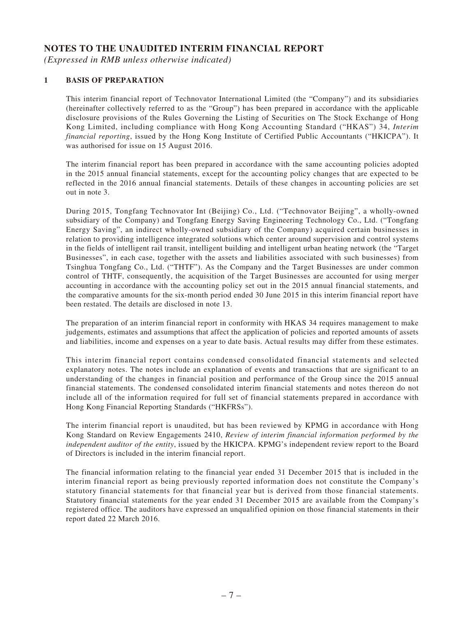### **NOTES TO THE UNAUDITED INTERIM FINANCIAL REPORT**

*(Expressed in RMB unless otherwise indicated)*

#### **1 BASIS OF PREPARATION**

This interim financial report of Technovator International Limited (the "Company") and its subsidiaries (hereinafter collectively referred to as the "Group") has been prepared in accordance with the applicable disclosure provisions of the Rules Governing the Listing of Securities on The Stock Exchange of Hong Kong Limited, including compliance with Hong Kong Accounting Standard ("HKAS") 34, *Interim financial reporting*, issued by the Hong Kong Institute of Certified Public Accountants ("HKICPA"). It was authorised for issue on 15 August 2016.

The interim financial report has been prepared in accordance with the same accounting policies adopted in the 2015 annual financial statements, except for the accounting policy changes that are expected to be reflected in the 2016 annual financial statements. Details of these changes in accounting policies are set out in note 3.

During 2015, Tongfang Technovator Int (Beijing) Co., Ltd. ("Technovator Beijing", a wholly-owned subsidiary of the Company) and Tongfang Energy Saving Engineering Technology Co., Ltd. ("Tongfang Energy Saving", an indirect wholly-owned subsidiary of the Company) acquired certain businesses in relation to providing intelligence integrated solutions which center around supervision and control systems in the fields of intelligent rail transit, intelligent building and intelligent urban heating network (the "Target Businesses", in each case, together with the assets and liabilities associated with such businesses) from Tsinghua Tongfang Co., Ltd. ("THTF"). As the Company and the Target Businesses are under common control of THTF, consequently, the acquisition of the Target Businesses are accounted for using merger accounting in accordance with the accounting policy set out in the 2015 annual financial statements, and the comparative amounts for the six-month period ended 30 June 2015 in this interim financial report have been restated. The details are disclosed in note 13.

The preparation of an interim financial report in conformity with HKAS 34 requires management to make judgements, estimates and assumptions that affect the application of policies and reported amounts of assets and liabilities, income and expenses on a year to date basis. Actual results may differ from these estimates.

This interim financial report contains condensed consolidated financial statements and selected explanatory notes. The notes include an explanation of events and transactions that are significant to an understanding of the changes in financial position and performance of the Group since the 2015 annual financial statements. The condensed consolidated interim financial statements and notes thereon do not include all of the information required for full set of financial statements prepared in accordance with Hong Kong Financial Reporting Standards ("HKFRSs").

The interim financial report is unaudited, but has been reviewed by KPMG in accordance with Hong Kong Standard on Review Engagements 2410, *Review of interim financial information performed by the independent auditor of the entity*, issued by the HKICPA. KPMG's independent review report to the Board of Directors is included in the interim financial report.

The financial information relating to the financial year ended 31 December 2015 that is included in the interim financial report as being previously reported information does not constitute the Company's statutory financial statements for that financial year but is derived from those financial statements. Statutory financial statements for the year ended 31 December 2015 are available from the Company's registered office. The auditors have expressed an unqualified opinion on those financial statements in their report dated 22 March 2016.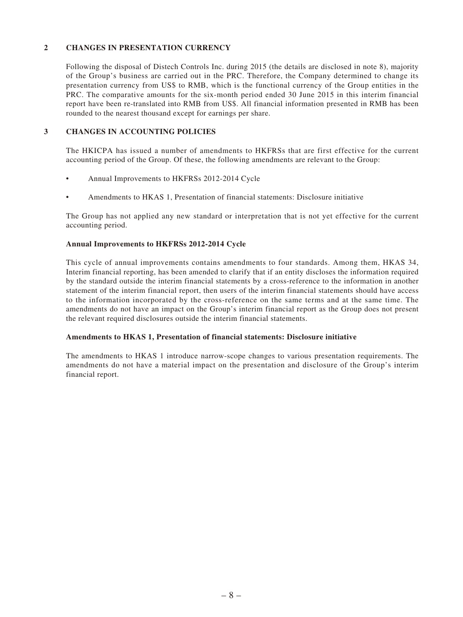#### **2 CHANGES IN PRESENTATION CURRENCY**

Following the disposal of Distech Controls Inc. during 2015 (the details are disclosed in note 8), majority of the Group's business are carried out in the PRC. Therefore, the Company determined to change its presentation currency from US\$ to RMB, which is the functional currency of the Group entities in the PRC. The comparative amounts for the six-month period ended 30 June 2015 in this interim financial report have been re-translated into RMB from US\$. All financial information presented in RMB has been rounded to the nearest thousand except for earnings per share.

#### **3 CHANGES IN ACCOUNTING POLICIES**

The HKICPA has issued a number of amendments to HKFRSs that are first effective for the current accounting period of the Group. Of these, the following amendments are relevant to the Group:

- Annual Improvements to HKFRSs 2012-2014 Cycle
- Amendments to HKAS 1, Presentation of financial statements: Disclosure initiative

The Group has not applied any new standard or interpretation that is not yet effective for the current accounting period.

#### **Annual Improvements to HKFRSs 2012-2014 Cycle**

This cycle of annual improvements contains amendments to four standards. Among them, HKAS 34, Interim financial reporting, has been amended to clarify that if an entity discloses the information required by the standard outside the interim financial statements by a cross-reference to the information in another statement of the interim financial report, then users of the interim financial statements should have access to the information incorporated by the cross-reference on the same terms and at the same time. The amendments do not have an impact on the Group's interim financial report as the Group does not present the relevant required disclosures outside the interim financial statements.

#### **Amendments to HKAS 1, Presentation of financial statements: Disclosure initiative**

The amendments to HKAS 1 introduce narrow-scope changes to various presentation requirements. The amendments do not have a material impact on the presentation and disclosure of the Group's interim financial report.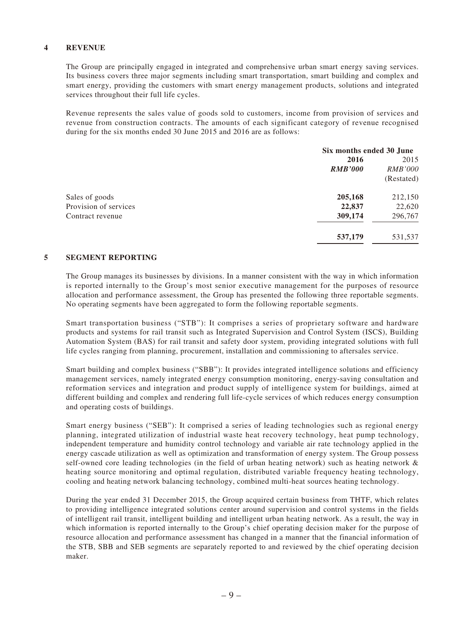#### **4 REVENUE**

The Group are principally engaged in integrated and comprehensive urban smart energy saving services. Its business covers three major segments including smart transportation, smart building and complex and smart energy, providing the customers with smart energy management products, solutions and integrated services throughout their full life cycles.

Revenue represents the sales value of goods sold to customers, income from provision of services and revenue from construction contracts. The amounts of each significant category of revenue recognised during for the six months ended 30 June 2015 and 2016 are as follows:

| Six months ended 30 June |                |  |
|--------------------------|----------------|--|
| 2016                     | 2015           |  |
| <b>RMB'000</b>           | <i>RMB'000</i> |  |
|                          | (Restated)     |  |
| 205,168                  | 212,150        |  |
| 22,837                   | 22,620         |  |
| 309,174                  | 296,767        |  |
| 537,179                  | 531,537        |  |
|                          |                |  |

#### **5 SEGMENT REPORTING**

The Group manages its businesses by divisions. In a manner consistent with the way in which information is reported internally to the Group's most senior executive management for the purposes of resource allocation and performance assessment, the Group has presented the following three reportable segments. No operating segments have been aggregated to form the following reportable segments.

Smart transportation business ("STB"): It comprises a series of proprietary software and hardware products and systems for rail transit such as Integrated Supervision and Control System (ISCS), Building Automation System (BAS) for rail transit and safety door system, providing integrated solutions with full life cycles ranging from planning, procurement, installation and commissioning to aftersales service.

Smart building and complex business ("SBB"): It provides integrated intelligence solutions and efficiency management services, namely integrated energy consumption monitoring, energy-saving consultation and reformation services and integration and product supply of intelligence system for buildings, aimed at different building and complex and rendering full life-cycle services of which reduces energy consumption and operating costs of buildings.

Smart energy business ("SEB"): It comprised a series of leading technologies such as regional energy planning, integrated utilization of industrial waste heat recovery technology, heat pump technology, independent temperature and humidity control technology and variable air rate technology applied in the energy cascade utilization as well as optimization and transformation of energy system. The Group possess self-owned core leading technologies (in the field of urban heating network) such as heating network & heating source monitoring and optimal regulation, distributed variable frequency heating technology, cooling and heating network balancing technology, combined multi-heat sources heating technology.

During the year ended 31 December 2015, the Group acquired certain business from THTF, which relates to providing intelligence integrated solutions center around supervision and control systems in the fields of intelligent rail transit, intelligent building and intelligent urban heating network. As a result, the way in which information is reported internally to the Group's chief operating decision maker for the purpose of resource allocation and performance assessment has changed in a manner that the financial information of the STB, SBB and SEB segments are separately reported to and reviewed by the chief operating decision maker.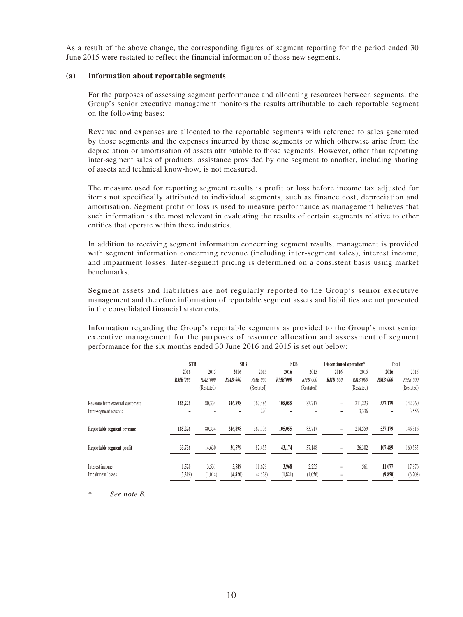As a result of the above change, the corresponding figures of segment reporting for the period ended 30 June 2015 were restated to reflect the financial information of those new segments.

#### **(a) Information about reportable segments**

For the purposes of assessing segment performance and allocating resources between segments, the Group's senior executive management monitors the results attributable to each reportable segment on the following bases:

Revenue and expenses are allocated to the reportable segments with reference to sales generated by those segments and the expenses incurred by those segments or which otherwise arise from the depreciation or amortisation of assets attributable to those segments. However, other than reporting inter-segment sales of products, assistance provided by one segment to another, including sharing of assets and technical know-how, is not measured.

The measure used for reporting segment results is profit or loss before income tax adjusted for items not specifically attributed to individual segments, such as finance cost, depreciation and amortisation. Segment profit or loss is used to measure performance as management believes that such information is the most relevant in evaluating the results of certain segments relative to other entities that operate within these industries.

In addition to receiving segment information concerning segment results, management is provided with segment information concerning revenue (including inter-segment sales), interest income, and impairment losses. Inter-segment pricing is determined on a consistent basis using market benchmarks.

Segment assets and liabilities are not regularly reported to the Group's senior executive management and therefore information of reportable segment assets and liabilities are not presented in the consolidated financial statements.

Information regarding the Group's reportable segments as provided to the Group's most senior executive management for the purposes of resource allocation and assessment of segment performance for the six months ended 30 June 2016 and 2015 is set out below:

|                                 | <b>STB</b>     |                | <b>SBB</b>     |            | <b>SEB</b>     |                | Discontinued operation* |            | Total                    |                |
|---------------------------------|----------------|----------------|----------------|------------|----------------|----------------|-------------------------|------------|--------------------------|----------------|
|                                 | 2016           | 2015           | 2016           | 2015       | 2016           | 2015           | 2016                    | 2015       | 2016                     | 2015           |
|                                 | <b>RMB'000</b> | <b>RMB'000</b> | <b>RMB'000</b> | RMB'000    | <b>RMB'000</b> | <b>RMB'000</b> | <b>RMB'000</b>          | RMB'000    | <b>RMB'000</b>           | <b>RMB'000</b> |
|                                 |                | (Restated)     |                | (Restated) |                | (Restated)     |                         | (Restated) |                          | (Restated)     |
| Revenue from external customers | 185,226        | 80,334         | 246,898        | 367,486    | 105,055        | 83,717         | -                       | 211,223    | 537,179                  | 742,760        |
| Inter-segment revenue           |                |                |                | 220        |                |                |                         | 3,336      | $\overline{\phantom{a}}$ | 3,556          |
| Reportable segment revenue      | 185,226        | 80,334         | 246,898        | 367,706    | 105,055        | 83,717         |                         | 214,559    | 537,179                  | 746,316        |
| Reportable segment profit       | 33,736         | 14,630         | 30,579         | 82,455     | 43,174         | 37,148         |                         | 26,302     | 107,489                  | 160,535        |
| Interest income                 | 1,520          | 3.531          | 5,589          | 11,629     | 3,968          | 2,255          | -                       | 561        | 11,077                   | 17,976         |
| Impairment losses               | (3,209)        | (1,014)        | (4,820)        | (4,638)    | (1,821)        | (1,056)        |                         |            | (9,850)                  | (6,708)        |

\* *See note 8.*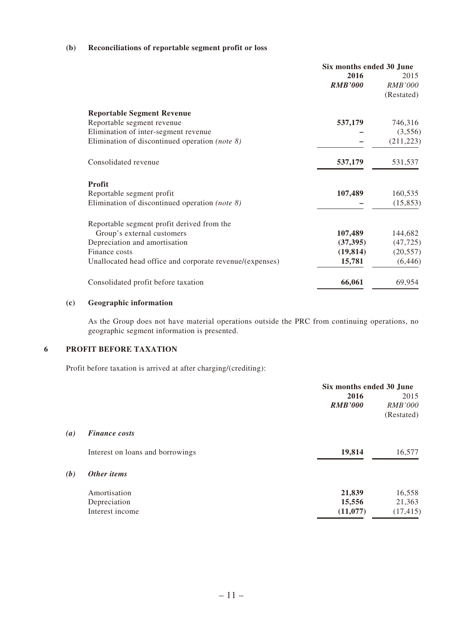#### **(b) Reconciliations of reportable segment profit or loss**

|                                                          | Six months ended 30 June |                |  |
|----------------------------------------------------------|--------------------------|----------------|--|
|                                                          | 2016                     | 2015           |  |
|                                                          | <b>RMB'000</b>           | <i>RMB'000</i> |  |
|                                                          |                          | (Restated)     |  |
| <b>Reportable Segment Revenue</b>                        |                          |                |  |
| Reportable segment revenue                               | 537,179                  | 746,316        |  |
| Elimination of inter-segment revenue                     |                          | (3,556)        |  |
| Elimination of discontinued operation (note $\delta$ )   |                          | (211, 223)     |  |
| Consolidated revenue                                     | 537,179                  | 531,537        |  |
| <b>Profit</b>                                            |                          |                |  |
| Reportable segment profit                                | 107,489                  | 160,535        |  |
| Elimination of discontinued operation ( <i>note 8</i> )  |                          | (15, 853)      |  |
| Reportable segment profit derived from the               |                          |                |  |
| Group's external customers                               | 107,489                  | 144,682        |  |
| Depreciation and amortisation                            | (37, 395)                | (47, 725)      |  |
| Finance costs                                            | (19, 814)                | (20, 557)      |  |
| Unallocated head office and corporate revenue/(expenses) | 15,781                   | (6, 446)       |  |
| Consolidated profit before taxation                      | 66,061                   | 69,954         |  |

#### **(c) Geographic information**

As the Group does not have material operations outside the PRC from continuing operations, no geographic segment information is presented.

#### **6 PROFIT BEFORE TAXATION**

Profit before taxation is arrived at after charging/(crediting):

|     |                                  | Six months ended 30 June |                |  |
|-----|----------------------------------|--------------------------|----------------|--|
|     |                                  | 2016                     | 2015           |  |
|     |                                  | <b>RMB'000</b>           | <i>RMB'000</i> |  |
|     |                                  |                          | (Restated)     |  |
| (a) | <b>Finance costs</b>             |                          |                |  |
|     | Interest on loans and borrowings | 19,814                   | 16,577         |  |
| (b) | Other items                      |                          |                |  |
|     | Amortisation                     | 21,839                   | 16,558         |  |
|     | Depreciation                     | 15,556                   | 21,363         |  |
|     | Interest income                  | (11,077)                 | (17, 415)      |  |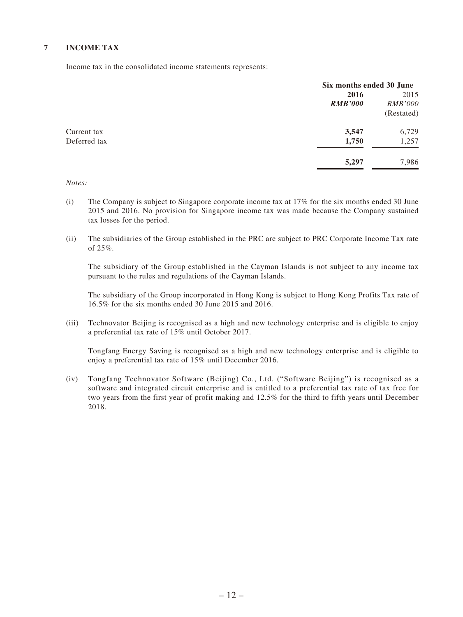#### **7 INCOME TAX**

Income tax in the consolidated income statements represents:

|              | Six months ended 30 June |                |
|--------------|--------------------------|----------------|
|              | 2016                     | 2015           |
|              | <b>RMB'000</b>           | <i>RMB'000</i> |
|              |                          | (Restated)     |
| Current tax  | 3,547                    | 6,729          |
| Deferred tax | 1,750                    | 1,257          |
|              | 5,297                    | 7,986          |

*Notes:*

- (i) The Company is subject to Singapore corporate income tax at 17% for the six months ended 30 June 2015 and 2016. No provision for Singapore income tax was made because the Company sustained tax losses for the period.
- (ii) The subsidiaries of the Group established in the PRC are subject to PRC Corporate Income Tax rate of  $25\%$ .

The subsidiary of the Group established in the Cayman Islands is not subject to any income tax pursuant to the rules and regulations of the Cayman Islands.

The subsidiary of the Group incorporated in Hong Kong is subject to Hong Kong Profits Tax rate of 16.5% for the six months ended 30 June 2015 and 2016.

(iii) Technovator Beijing is recognised as a high and new technology enterprise and is eligible to enjoy a preferential tax rate of 15% until October 2017.

Tongfang Energy Saving is recognised as a high and new technology enterprise and is eligible to enjoy a preferential tax rate of 15% until December 2016.

(iv) Tongfang Technovator Software (Beijing) Co., Ltd. ("Software Beijing") is recognised as a software and integrated circuit enterprise and is entitled to a preferential tax rate of tax free for two years from the first year of profit making and 12.5% for the third to fifth years until December 2018.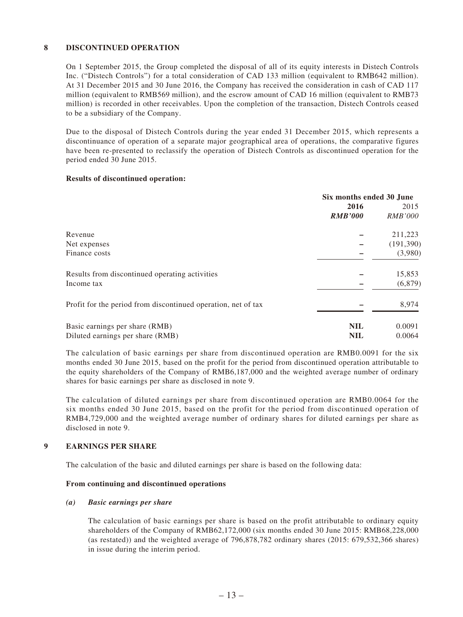#### **8 DISCONTINUED OPERATION**

On 1 September 2015, the Group completed the disposal of all of its equity interests in Distech Controls Inc. ("Distech Controls") for a total consideration of CAD 133 million (equivalent to RMB642 million). At 31 December 2015 and 30 June 2016, the Company has received the consideration in cash of CAD 117 million (equivalent to RMB569 million), and the escrow amount of CAD 16 million (equivalent to RMB73 million) is recorded in other receivables. Upon the completion of the transaction, Distech Controls ceased to be a subsidiary of the Company.

Due to the disposal of Distech Controls during the year ended 31 December 2015, which represents a discontinuance of operation of a separate major geographical area of operations, the comparative figures have been re-presented to reclassify the operation of Distech Controls as discontinued operation for the period ended 30 June 2015.

#### **Results of discontinued operation:**

|                                                               | Six months ended 30 June |                |  |
|---------------------------------------------------------------|--------------------------|----------------|--|
|                                                               | 2016                     | 2015           |  |
|                                                               | <b>RMB'000</b>           | <i>RMB'000</i> |  |
| Revenue                                                       |                          | 211,223        |  |
| Net expenses                                                  |                          | (191, 390)     |  |
| Finance costs                                                 |                          | (3,980)        |  |
| Results from discontinued operating activities                |                          | 15,853         |  |
| Income tax                                                    |                          | (6,879)        |  |
| Profit for the period from discontinued operation, net of tax |                          | 8,974          |  |
| Basic earnings per share (RMB)                                | <b>NIL</b>               | 0.0091         |  |
| Diluted earnings per share (RMB)                              | <b>NIL</b>               | 0.0064         |  |

The calculation of basic earnings per share from discontinued operation are RMB0.0091 for the six months ended 30 June 2015, based on the profit for the period from discontinued operation attributable to the equity shareholders of the Company of RMB6,187,000 and the weighted average number of ordinary shares for basic earnings per share as disclosed in note 9.

The calculation of diluted earnings per share from discontinued operation are RMB0.0064 for the six months ended 30 June 2015, based on the profit for the period from discontinued operation of RMB4,729,000 and the weighted average number of ordinary shares for diluted earnings per share as disclosed in note 9.

#### **9 EARNINGS PER SHARE**

The calculation of the basic and diluted earnings per share is based on the following data:

#### **From continuing and discontinued operations**

#### *(a) Basic earnings per share*

The calculation of basic earnings per share is based on the profit attributable to ordinary equity shareholders of the Company of RMB62,172,000 (six months ended 30 June 2015: RMB68,228,000 (as restated)) and the weighted average of 796,878,782 ordinary shares (2015: 679,532,366 shares) in issue during the interim period.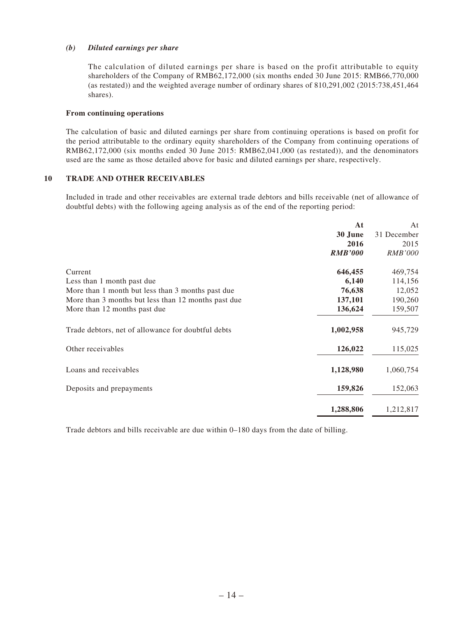#### *(b) Diluted earnings per share*

The calculation of diluted earnings per share is based on the profit attributable to equity shareholders of the Company of RMB62,172,000 (six months ended 30 June 2015: RMB66,770,000 (as restated)) and the weighted average number of ordinary shares of 810,291,002 (2015:738,451,464 shares).

#### **From continuing operations**

The calculation of basic and diluted earnings per share from continuing operations is based on profit for the period attributable to the ordinary equity shareholders of the Company from continuing operations of RMB62,172,000 (six months ended 30 June 2015: RMB62,041,000 (as restated)), and the denominators used are the same as those detailed above for basic and diluted earnings per share, respectively.

#### **10 TRADE AND OTHER RECEIVABLES**

Included in trade and other receivables are external trade debtors and bills receivable (net of allowance of doubtful debts) with the following ageing analysis as of the end of the reporting period:

|                                                                 | At<br>At       |
|-----------------------------------------------------------------|----------------|
| 30 June                                                         | 31 December    |
| 2016                                                            | 2015           |
| <b>RMB'000</b>                                                  | <b>RMB'000</b> |
| 646,455<br>Current                                              | 469,754        |
| 6,140<br>Less than 1 month past due                             | 114,156        |
| 76,638<br>More than 1 month but less than 3 months past due     | 12,052         |
| 137,101<br>More than 3 months but less than 12 months past due  | 190,260        |
| 136,624<br>More than 12 months past due                         | 159,507        |
| 1,002,958<br>Trade debtors, net of allowance for doubtful debts | 945,729        |
| 126,022<br>Other receivables                                    | 115,025        |
| Loans and receivables<br>1,128,980                              | 1,060,754      |
| 159,826<br>Deposits and prepayments                             | 152,063        |
| 1,288,806                                                       | 1,212,817      |

Trade debtors and bills receivable are due within 0–180 days from the date of billing.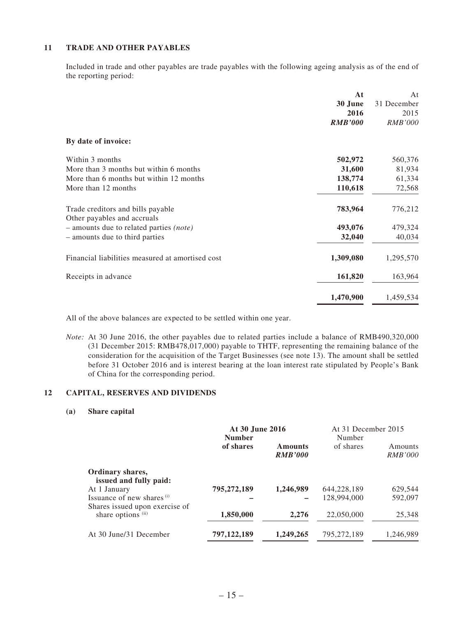#### **11 TRADE AND OTHER PAYABLES**

Included in trade and other payables are trade payables with the following ageing analysis as of the end of the reporting period:

|                                                  | At             | At             |
|--------------------------------------------------|----------------|----------------|
|                                                  | 30 June        | 31 December    |
|                                                  | 2016           | 2015           |
|                                                  | <b>RMB'000</b> | <b>RMB'000</b> |
| By date of invoice:                              |                |                |
| Within 3 months                                  | 502,972        | 560,376        |
| More than 3 months but within 6 months           | 31,600         | 81,934         |
| More than 6 months but within 12 months          | 138,774        | 61,334         |
| More than 12 months                              | 110,618        | 72,568         |
| Trade creditors and bills payable                | 783,964        | 776,212        |
| Other payables and accruals                      |                |                |
| - amounts due to related parties (note)          | 493,076        | 479,324        |
| - amounts due to third parties                   | 32,040         | 40,034         |
| Financial liabilities measured at amortised cost | 1,309,080      | 1,295,570      |
| Receipts in advance                              | 161,820        | 163,964        |
|                                                  | 1,470,900      | 1,459,534      |

All of the above balances are expected to be settled within one year.

*Note:* At 30 June 2016, the other payables due to related parties include a balance of RMB490,320,000 (31 December 2015: RMB478,017,000) payable to THTF, representing the remaining balance of the consideration for the acquisition of the Target Businesses (see note 13). The amount shall be settled before 31 October 2016 and is interest bearing at the loan interest rate stipulated by People's Bank of China for the corresponding period.

#### **12 CAPITAL, RESERVES AND DIVIDENDS**

#### **(a) Share capital**

|                                                              | At 30 June 2016<br><b>Number</b> |                                  | At 31 December 2015<br>Number |                           |
|--------------------------------------------------------------|----------------------------------|----------------------------------|-------------------------------|---------------------------|
|                                                              | of shares                        | <b>Amounts</b><br><b>RMB'000</b> | of shares                     | Amounts<br><i>RMB'000</i> |
| Ordinary shares,<br>issued and fully paid:                   |                                  |                                  |                               |                           |
| At 1 January                                                 | 795,272,189                      | 1,246,989                        | 644,228,189                   | 629,544                   |
| Issuance of new shares (i)<br>Shares issued upon exercise of |                                  |                                  | 128,994,000                   | 592,097                   |
| share options (ii)                                           | 1,850,000                        | 2,276                            | 22,050,000                    | 25,348                    |
| At 30 June/31 December                                       | 797,122,189                      | 1,249,265                        | 795,272,189                   | 1,246,989                 |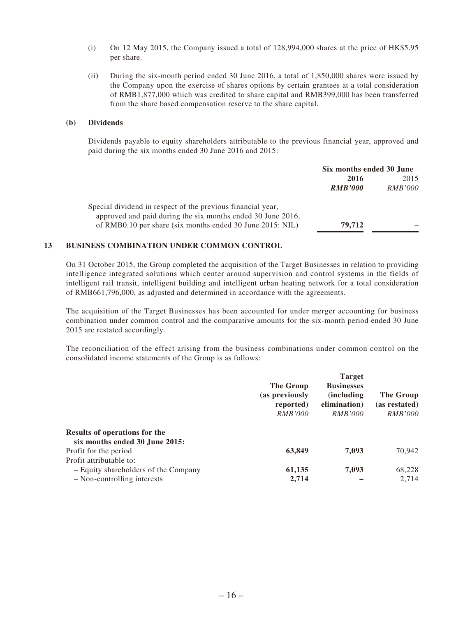- (i) On 12 May 2015, the Company issued a total of 128,994,000 shares at the price of HK\$5.95 per share.
- (ii) During the six-month period ended 30 June 2016, a total of 1,850,000 shares were issued by the Company upon the exercise of shares options by certain grantees at a total consideration of RMB1,877,000 which was credited to share capital and RMB399,000 has been transferred from the share based compensation reserve to the share capital.

#### **(b) Dividends**

Dividends payable to equity shareholders attributable to the previous financial year, approved and paid during the six months ended 30 June 2016 and 2015:

|                                                                                                                          | Six months ended 30 June |                |
|--------------------------------------------------------------------------------------------------------------------------|--------------------------|----------------|
|                                                                                                                          | 2016                     | 2015           |
|                                                                                                                          | <b>RMB'000</b>           | <i>RMB'000</i> |
| Special dividend in respect of the previous financial year,                                                              |                          |                |
| approved and paid during the six months ended 30 June 2016,<br>of RMB0.10 per share (six months ended 30 June 2015: NIL) | 79,712                   |                |

#### **13 BUSINESS COMBINATION UNDER COMMON CONTROL**

On 31 October 2015, the Group completed the acquisition of the Target Businesses in relation to providing intelligence integrated solutions which center around supervision and control systems in the fields of intelligent rail transit, intelligent building and intelligent urban heating network for a total consideration of RMB661,796,000, as adjusted and determined in accordance with the agreements.

The acquisition of the Target Businesses has been accounted for under merger accounting for business combination under common control and the comparative amounts for the six-month period ended 30 June 2015 are restated accordingly.

The reconciliation of the effect arising from the business combinations under common control on the consolidated income statements of the Group is as follows:

|                                                                 | The Group<br>(as previously<br>reported)<br><i>RMB'000</i> | <b>Target</b><br><b>Businesses</b><br><i>(including)</i><br>elimination)<br><i>RMB'000</i> | The Group<br>(as restated)<br><i>RMB'000</i> |
|-----------------------------------------------------------------|------------------------------------------------------------|--------------------------------------------------------------------------------------------|----------------------------------------------|
| Results of operations for the<br>six months ended 30 June 2015: |                                                            |                                                                                            |                                              |
| Profit for the period                                           | 63,849                                                     | 7,093                                                                                      | 70,942                                       |
| Profit attributable to:                                         |                                                            |                                                                                            |                                              |
| - Equity shareholders of the Company                            | 61,135                                                     | 7,093                                                                                      | 68,228                                       |
| - Non-controlling interests                                     | 2,714                                                      |                                                                                            | 2,714                                        |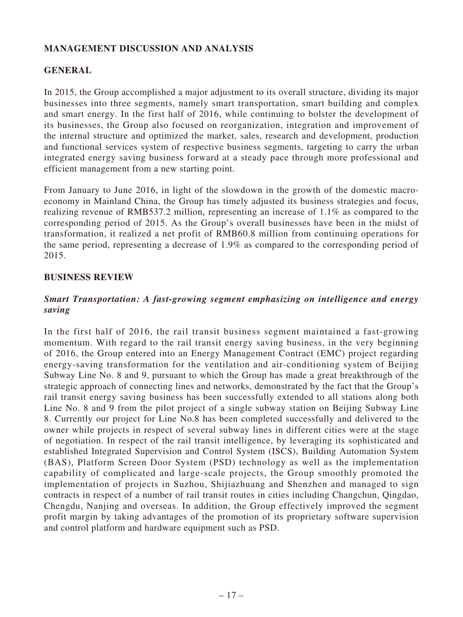# **MANAGEMENT DISCUSSION AND ANALYSIS**

# **GENERAL**

In 2015, the Group accomplished a major adjustment to its overall structure, dividing its major businesses into three segments, namely smart transportation, smart building and complex and smart energy. In the first half of 2016, while continuing to bolster the development of its businesses, the Group also focused on reorganization, integration and improvement of the internal structure and optimized the market, sales, research and development, production and functional services system of respective business segments, targeting to carry the urban integrated energy saving business forward at a steady pace through more professional and efficient management from a new starting point.

From January to June 2016, in light of the slowdown in the growth of the domestic macroeconomy in Mainland China, the Group has timely adjusted its business strategies and focus, realizing revenue of RMB537.2 million, representing an increase of 1.1% as compared to the corresponding period of 2015. As the Group's overall businesses have been in the midst of transformation, it realized a net profit of RMB60.8 million from continuing operations for the same period, representing a decrease of 1.9% as compared to the corresponding period of 2015.

### **BUSINESS REVIEW**

### *Smart Transportation: A fast-growing segment emphasizing on intelligence and energy saving*

In the first half of 2016, the rail transit business segment maintained a fast-growing momentum. With regard to the rail transit energy saving business, in the very beginning of 2016, the Group entered into an Energy Management Contract (EMC) project regarding energy-saving transformation for the ventilation and air-conditioning system of Beijing Subway Line No. 8 and 9, pursuant to which the Group has made a great breakthrough of the strategic approach of connecting lines and networks, demonstrated by the fact that the Group's rail transit energy saving business has been successfully extended to all stations along both Line No. 8 and 9 from the pilot project of a single subway station on Beijing Subway Line 8. Currently our project for Line No.8 has been completed successfully and delivered to the owner while projects in respect of several subway lines in different cities were at the stage of negotiation. In respect of the rail transit intelligence, by leveraging its sophisticated and established Integrated Supervision and Control System (ISCS), Building Automation System (BAS), Platform Screen Door System (PSD) technology as well as the implementation capability of complicated and large-scale projects, the Group smoothly promoted the implementation of projects in Suzhou, Shijiazhuang and Shenzhen and managed to sign contracts in respect of a number of rail transit routes in cities including Changchun, Qingdao, Chengdu, Nanjing and overseas. In addition, the Group effectively improved the segment profit margin by taking advantages of the promotion of its proprietary software supervision and control platform and hardware equipment such as PSD.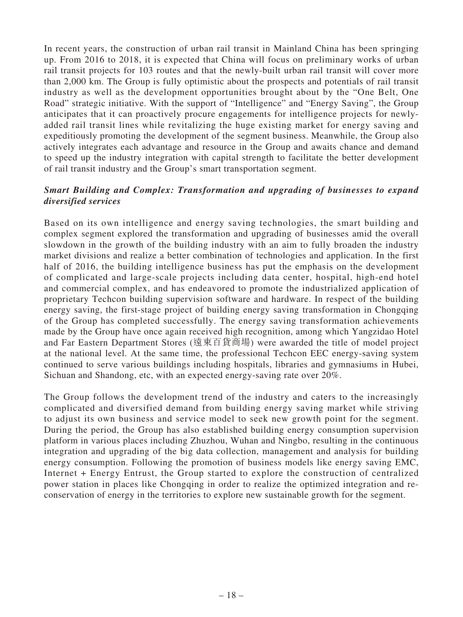In recent years, the construction of urban rail transit in Mainland China has been springing up. From 2016 to 2018, it is expected that China will focus on preliminary works of urban rail transit projects for 103 routes and that the newly-built urban rail transit will cover more than 2,000 km. The Group is fully optimistic about the prospects and potentials of rail transit industry as well as the development opportunities brought about by the "One Belt, One Road" strategic initiative. With the support of "Intelligence" and "Energy Saving", the Group anticipates that it can proactively procure engagements for intelligence projects for newlyadded rail transit lines while revitalizing the huge existing market for energy saving and expeditiously promoting the development of the segment business. Meanwhile, the Group also actively integrates each advantage and resource in the Group and awaits chance and demand to speed up the industry integration with capital strength to facilitate the better development of rail transit industry and the Group's smart transportation segment.

### *Smart Building and Complex: Transformation and upgrading of businesses to expand diversified services*

Based on its own intelligence and energy saving technologies, the smart building and complex segment explored the transformation and upgrading of businesses amid the overall slowdown in the growth of the building industry with an aim to fully broaden the industry market divisions and realize a better combination of technologies and application. In the first half of 2016, the building intelligence business has put the emphasis on the development of complicated and large-scale projects including data center, hospital, high-end hotel and commercial complex, and has endeavored to promote the industrialized application of proprietary Techcon building supervision software and hardware. In respect of the building energy saving, the first-stage project of building energy saving transformation in Chongqing of the Group has completed successfully. The energy saving transformation achievements made by the Group have once again received high recognition, among which Yangzidao Hotel and Far Eastern Department Stores (遠東百貨商場) were awarded the title of model project at the national level. At the same time, the professional Techcon EEC energy-saving system continued to serve various buildings including hospitals, libraries and gymnasiums in Hubei, Sichuan and Shandong, etc, with an expected energy-saving rate over 20%.

The Group follows the development trend of the industry and caters to the increasingly complicated and diversified demand from building energy saving market while striving to adjust its own business and service model to seek new growth point for the segment. During the period, the Group has also established building energy consumption supervision platform in various places including Zhuzhou, Wuhan and Ningbo, resulting in the continuous integration and upgrading of the big data collection, management and analysis for building energy consumption. Following the promotion of business models like energy saving EMC, Internet + Energy Entrust, the Group started to explore the construction of centralized power station in places like Chongqing in order to realize the optimized integration and reconservation of energy in the territories to explore new sustainable growth for the segment.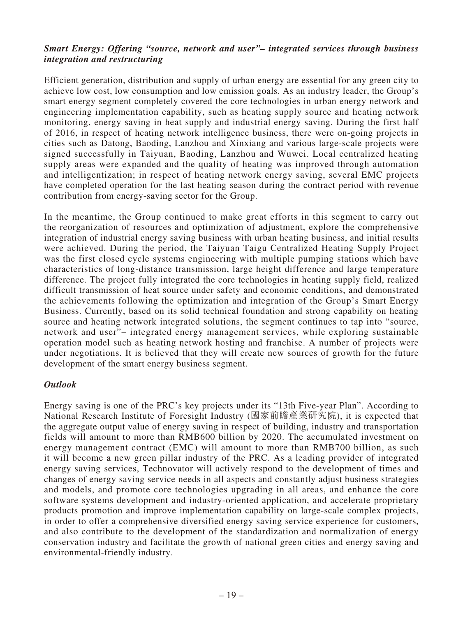### *Smart Energy: Offering "source, network and user"– integrated services through business integration and restructuring*

Efficient generation, distribution and supply of urban energy are essential for any green city to achieve low cost, low consumption and low emission goals. As an industry leader, the Group's smart energy segment completely covered the core technologies in urban energy network and engineering implementation capability, such as heating supply source and heating network monitoring, energy saving in heat supply and industrial energy saving. During the first half of 2016, in respect of heating network intelligence business, there were on-going projects in cities such as Datong, Baoding, Lanzhou and Xinxiang and various large-scale projects were signed successfully in Taiyuan, Baoding, Lanzhou and Wuwei. Local centralized heating supply areas were expanded and the quality of heating was improved through automation and intelligentization; in respect of heating network energy saving, several EMC projects have completed operation for the last heating season during the contract period with revenue contribution from energy-saving sector for the Group.

In the meantime, the Group continued to make great efforts in this segment to carry out the reorganization of resources and optimization of adjustment, explore the comprehensive integration of industrial energy saving business with urban heating business, and initial results were achieved. During the period, the Taiyuan Taigu Centralized Heating Supply Project was the first closed cycle systems engineering with multiple pumping stations which have characteristics of long-distance transmission, large height difference and large temperature difference. The project fully integrated the core technologies in heating supply field, realized difficult transmission of heat source under safety and economic conditions, and demonstrated the achievements following the optimization and integration of the Group's Smart Energy Business. Currently, based on its solid technical foundation and strong capability on heating source and heating network integrated solutions, the segment continues to tap into "source, network and user"– integrated energy management services, while exploring sustainable operation model such as heating network hosting and franchise. A number of projects were under negotiations. It is believed that they will create new sources of growth for the future development of the smart energy business segment.

### *Outlook*

Energy saving is one of the PRC's key projects under its "13th Five-year Plan". According to National Research Institute of Foresight Industry (國家前瞻產業研究院), it is expected that the aggregate output value of energy saving in respect of building, industry and transportation fields will amount to more than RMB600 billion by 2020. The accumulated investment on energy management contract (EMC) will amount to more than RMB700 billion, as such it will become a new green pillar industry of the PRC. As a leading provider of integrated energy saving services, Technovator will actively respond to the development of times and changes of energy saving service needs in all aspects and constantly adjust business strategies and models, and promote core technologies upgrading in all areas, and enhance the core software systems development and industry-oriented application, and accelerate proprietary products promotion and improve implementation capability on large-scale complex projects, in order to offer a comprehensive diversified energy saving service experience for customers, and also contribute to the development of the standardization and normalization of energy conservation industry and facilitate the growth of national green cities and energy saving and environmental-friendly industry.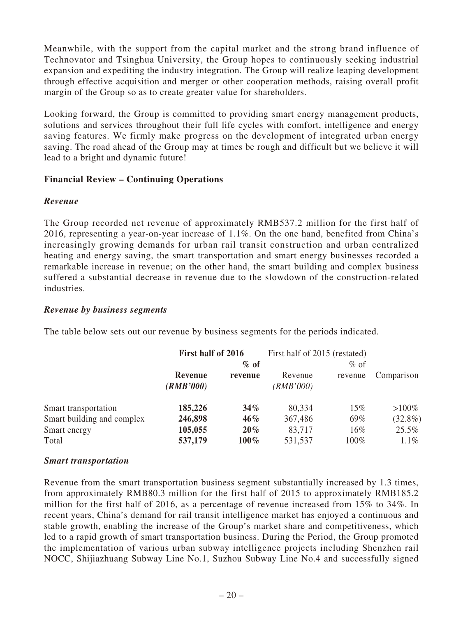Meanwhile, with the support from the capital market and the strong brand influence of Technovator and Tsinghua University, the Group hopes to continuously seeking industrial expansion and expediting the industry integration. The Group will realize leaping development through effective acquisition and merger or other cooperation methods, raising overall profit margin of the Group so as to create greater value for shareholders.

Looking forward, the Group is committed to providing smart energy management products, solutions and services throughout their full life cycles with comfort, intelligence and energy saving features. We firmly make progress on the development of integrated urban energy saving. The road ahead of the Group may at times be rough and difficult but we believe it will lead to a bright and dynamic future!

### **Financial Review – Continuing Operations**

### *Revenue*

The Group recorded net revenue of approximately RMB537.2 million for the first half of 2016, representing a year-on-year increase of  $1.1\%$ . On the one hand, benefited from China's increasingly growing demands for urban rail transit construction and urban centralized heating and energy saving, the smart transportation and smart energy businesses recorded a remarkable increase in revenue; on the other hand, the smart building and complex business suffered a substantial decrease in revenue due to the slowdown of the construction-related industries.

### *Revenue by business segments*

The table below sets out our revenue by business segments for the periods indicated.

|                            | First half of 2016 |         | First half of 2015 (restated) |         |            |
|----------------------------|--------------------|---------|-------------------------------|---------|------------|
|                            | $\%$ of            |         | $\%$ of                       |         |            |
|                            | Revenue            | revenue | Revenue                       | revenue | Comparison |
|                            | (RMB'000)          |         | ( <i>RMB</i> '000)            |         |            |
| Smart transportation       | 185,226            | $34\%$  | 80,334                        | 15%     | $>100\%$   |
| Smart building and complex | 246,898            | $46\%$  | 367,486                       | 69%     | $(32.8\%)$ |
| Smart energy               | 105,055            | $20\%$  | 83,717                        | 16%     | $25.5\%$   |
| Total                      | 537,179            | $100\%$ | 531,537                       | 100%    | $1.1\%$    |

### *Smart transportation*

Revenue from the smart transportation business segment substantially increased by 1.3 times, from approximately RMB80.3 million for the first half of 2015 to approximately RMB185.2 million for the first half of 2016, as a percentage of revenue increased from 15% to 34%. In recent years, China's demand for rail transit intelligence market has enjoyed a continuous and stable growth, enabling the increase of the Group's market share and competitiveness, which led to a rapid growth of smart transportation business. During the Period, the Group promoted the implementation of various urban subway intelligence projects including Shenzhen rail NOCC, Shijiazhuang Subway Line No.1, Suzhou Subway Line No.4 and successfully signed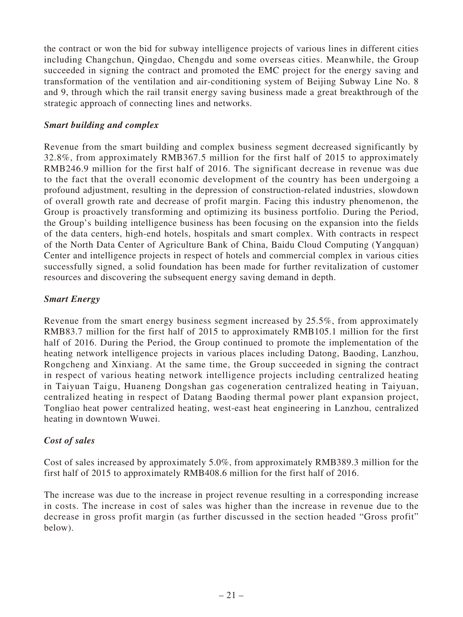the contract or won the bid for subway intelligence projects of various lines in different cities including Changchun, Qingdao, Chengdu and some overseas cities. Meanwhile, the Group succeeded in signing the contract and promoted the EMC project for the energy saving and transformation of the ventilation and air-conditioning system of Beijing Subway Line No. 8 and 9, through which the rail transit energy saving business made a great breakthrough of the strategic approach of connecting lines and networks.

### *Smart building and complex*

Revenue from the smart building and complex business segment decreased significantly by 32.8%, from approximately RMB367.5 million for the first half of 2015 to approximately RMB246.9 million for the first half of 2016. The significant decrease in revenue was due to the fact that the overall economic development of the country has been undergoing a profound adjustment, resulting in the depression of construction-related industries, slowdown of overall growth rate and decrease of profit margin. Facing this industry phenomenon, the Group is proactively transforming and optimizing its business portfolio. During the Period, the Group's building intelligence business has been focusing on the expansion into the fields of the data centers, high-end hotels, hospitals and smart complex. With contracts in respect of the North Data Center of Agriculture Bank of China, Baidu Cloud Computing (Yangquan) Center and intelligence projects in respect of hotels and commercial complex in various cities successfully signed, a solid foundation has been made for further revitalization of customer resources and discovering the subsequent energy saving demand in depth.

### *Smart Energy*

Revenue from the smart energy business segment increased by 25.5%, from approximately RMB83.7 million for the first half of 2015 to approximately RMB105.1 million for the first half of 2016. During the Period, the Group continued to promote the implementation of the heating network intelligence projects in various places including Datong, Baoding, Lanzhou, Rongcheng and Xinxiang. At the same time, the Group succeeded in signing the contract in respect of various heating network intelligence projects including centralized heating in Taiyuan Taigu, Huaneng Dongshan gas cogeneration centralized heating in Taiyuan, centralized heating in respect of Datang Baoding thermal power plant expansion project, Tongliao heat power centralized heating, west-east heat engineering in Lanzhou, centralized heating in downtown Wuwei.

### *Cost of sales*

Cost of sales increased by approximately 5.0%, from approximately RMB389.3 million for the first half of 2015 to approximately RMB408.6 million for the first half of 2016.

The increase was due to the increase in project revenue resulting in a corresponding increase in costs. The increase in cost of sales was higher than the increase in revenue due to the decrease in gross profit margin (as further discussed in the section headed "Gross profit" below).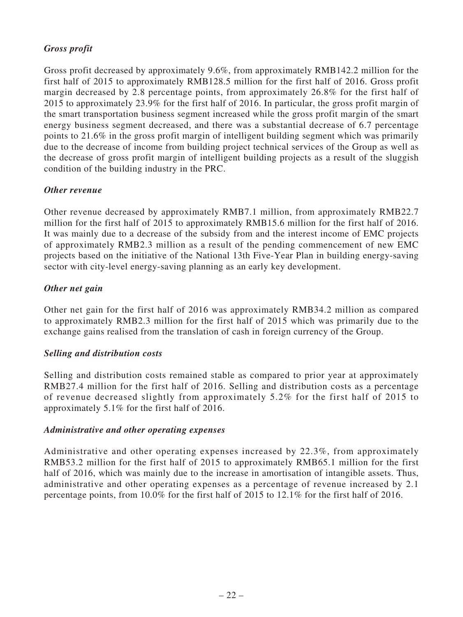# *Gross profit*

Gross profit decreased by approximately 9.6%, from approximately RMB142.2 million for the first half of 2015 to approximately RMB128.5 million for the first half of 2016. Gross profit margin decreased by 2.8 percentage points, from approximately 26.8% for the first half of 2015 to approximately 23.9% for the first half of 2016. In particular, the gross profit margin of the smart transportation business segment increased while the gross profit margin of the smart energy business segment decreased, and there was a substantial decrease of 6.7 percentage points to 21.6% in the gross profit margin of intelligent building segment which was primarily due to the decrease of income from building project technical services of the Group as well as the decrease of gross profit margin of intelligent building projects as a result of the sluggish condition of the building industry in the PRC.

### *Other revenue*

Other revenue decreased by approximately RMB7.1 million, from approximately RMB22.7 million for the first half of 2015 to approximately RMB15.6 million for the first half of 2016. It was mainly due to a decrease of the subsidy from and the interest income of EMC projects of approximately RMB2.3 million as a result of the pending commencement of new EMC projects based on the initiative of the National 13th Five-Year Plan in building energy-saving sector with city-level energy-saving planning as an early key development.

### *Other net gain*

Other net gain for the first half of 2016 was approximately RMB34.2 million as compared to approximately RMB2.3 million for the first half of 2015 which was primarily due to the exchange gains realised from the translation of cash in foreign currency of the Group.

#### *Selling and distribution costs*

Selling and distribution costs remained stable as compared to prior year at approximately RMB27.4 million for the first half of 2016. Selling and distribution costs as a percentage of revenue decreased slightly from approximately 5.2% for the first half of 2015 to approximately 5.1% for the first half of 2016.

#### *Administrative and other operating expenses*

Administrative and other operating expenses increased by 22.3%, from approximately RMB53.2 million for the first half of 2015 to approximately RMB65.1 million for the first half of 2016, which was mainly due to the increase in amortisation of intangible assets. Thus, administrative and other operating expenses as a percentage of revenue increased by 2.1 percentage points, from 10.0% for the first half of 2015 to 12.1% for the first half of 2016.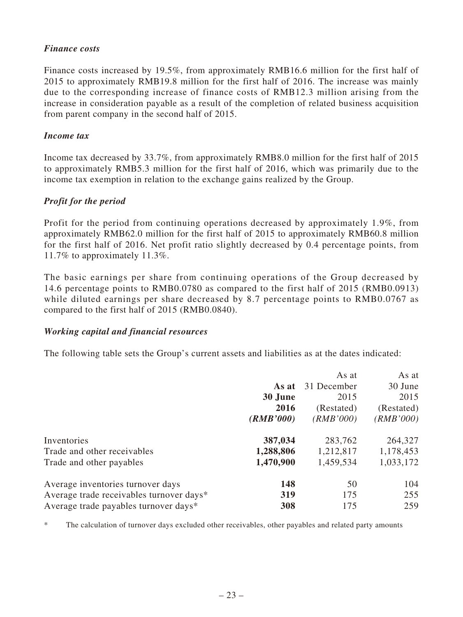### *Finance costs*

Finance costs increased by 19.5%, from approximately RMB16.6 million for the first half of 2015 to approximately RMB19.8 million for the first half of 2016. The increase was mainly due to the corresponding increase of finance costs of RMB12.3 million arising from the increase in consideration payable as a result of the completion of related business acquisition from parent company in the second half of 2015.

### *Income tax*

Income tax decreased by 33.7%, from approximately RMB8.0 million for the first half of 2015 to approximately RMB5.3 million for the first half of 2016, which was primarily due to the income tax exemption in relation to the exchange gains realized by the Group.

# *Profit for the period*

Profit for the period from continuing operations decreased by approximately 1.9%, from approximately RMB62.0 million for the first half of 2015 to approximately RMB60.8 million for the first half of 2016. Net profit ratio slightly decreased by 0.4 percentage points, from 11.7% to approximately 11.3%.

The basic earnings per share from continuing operations of the Group decreased by 14.6 percentage points to RMB0.0780 as compared to the first half of 2015 (RMB0.0913) while diluted earnings per share decreased by 8.7 percentage points to RMB0.0767 as compared to the first half of 2015 (RMB0.0840).

### *Working capital and financial resources*

The following table sets the Group's current assets and liabilities as at the dates indicated:

|                                          |           | As at       | As at      |
|------------------------------------------|-----------|-------------|------------|
|                                          | As at     | 31 December | 30 June    |
|                                          | 30 June   | 2015        | 2015       |
|                                          | 2016      | (Restated)  | (Restated) |
|                                          | (RMB'000) | (RMB'000)   | (RMB'000)  |
| Inventories                              | 387,034   | 283,762     | 264,327    |
| Trade and other receivables              | 1,288,806 | 1,212,817   | 1,178,453  |
| Trade and other payables                 | 1,470,900 | 1,459,534   | 1,033,172  |
| Average inventories turnover days        | 148       | 50          | 104        |
| Average trade receivables turnover days* | 319       | 175         | 255        |
| Average trade payables turnover days*    | 308       | 175         | 259        |

\* The calculation of turnover days excluded other receivables, other payables and related party amounts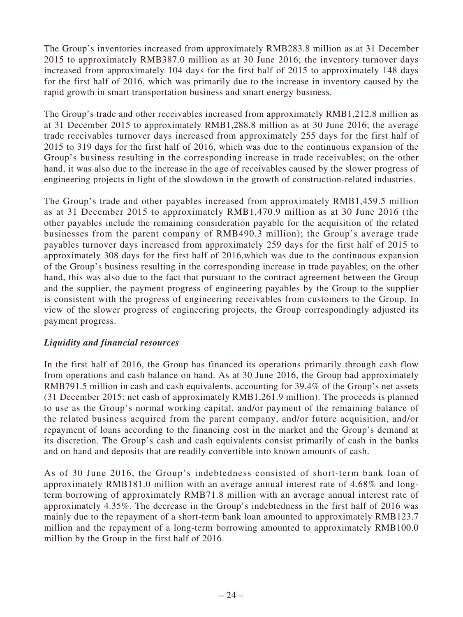The Group's inventories increased from approximately RMB283.8 million as at 31 December 2015 to approximately RMB387.0 million as at 30 June 2016; the inventory turnover days increased from approximately 104 days for the first half of 2015 to approximately 148 days for the first half of 2016, which was primarily due to the increase in inventory caused by the rapid growth in smart transportation business and smart energy business.

The Group's trade and other receivables increased from approximately RMB1,212.8 million as at 31 December 2015 to approximately RMB1,288.8 million as at 30 June 2016; the average trade receivables turnover days increased from approximately 255 days for the first half of 2015 to 319 days for the first half of 2016, which was due to the continuous expansion of the Group's business resulting in the corresponding increase in trade receivables; on the other hand, it was also due to the increase in the age of receivables caused by the slower progress of engineering projects in light of the slowdown in the growth of construction-related industries.

The Group's trade and other payables increased from approximately RMB1,459.5 million as at 31 December 2015 to approximately RMB1,470.9 million as at 30 June 2016 (the other payables include the remaining consideration payable for the acquisition of the related businesses from the parent company of RMB490.3 million); the Group's average trade payables turnover days increased from approximately 259 days for the first half of 2015 to approximately 308 days for the first half of 2016,which was due to the continuous expansion of the Group's business resulting in the corresponding increase in trade payables; on the other hand, this was also due to the fact that pursuant to the contract agreement between the Group and the supplier, the payment progress of engineering payables by the Group to the supplier is consistent with the progress of engineering receivables from customers to the Group. In view of the slower progress of engineering projects, the Group correspondingly adjusted its payment progress.

### *Liquidity and financial resources*

In the first half of 2016, the Group has financed its operations primarily through cash flow from operations and cash balance on hand. As at 30 June 2016, the Group had approximately RMB791.5 million in cash and cash equivalents, accounting for 39.4% of the Group's net assets (31 December 2015: net cash of approximately RMB1,261.9 million). The proceeds is planned to use as the Group's normal working capital, and/or payment of the remaining balance of the related business acquired from the parent company, and/or future acquisition, and/or repayment of loans according to the financing cost in the market and the Group's demand at its discretion. The Group's cash and cash equivalents consist primarily of cash in the banks and on hand and deposits that are readily convertible into known amounts of cash.

As of 30 June 2016, the Group's indebtedness consisted of short-term bank loan of approximately RMB181.0 million with an average annual interest rate of 4.68% and longterm borrowing of approximately RMB71.8 million with an average annual interest rate of approximately 4.35%. The decrease in the Group's indebtedness in the first half of 2016 was mainly due to the repayment of a short-term bank loan amounted to approximately RMB123.7 million and the repayment of a long-term borrowing amounted to approximately RMB100.0 million by the Group in the first half of 2016.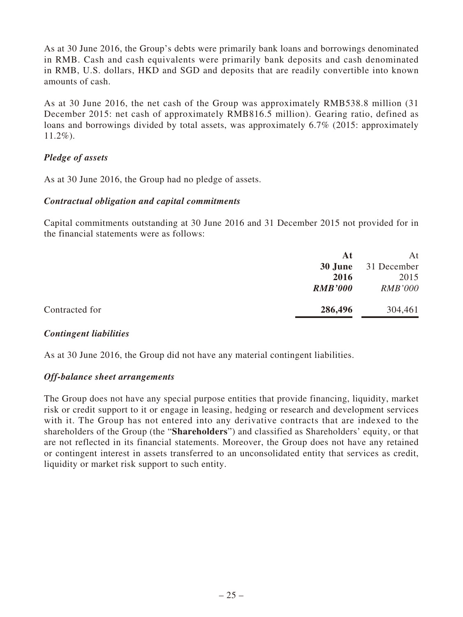As at 30 June 2016, the Group's debts were primarily bank loans and borrowings denominated in RMB. Cash and cash equivalents were primarily bank deposits and cash denominated in RMB, U.S. dollars, HKD and SGD and deposits that are readily convertible into known amounts of cash.

As at 30 June 2016, the net cash of the Group was approximately RMB538.8 million (31 December 2015: net cash of approximately RMB816.5 million). Gearing ratio, defined as loans and borrowings divided by total assets, was approximately 6.7% (2015: approximately 11.2%).

### *Pledge of assets*

As at 30 June 2016, the Group had no pledge of assets.

### *Contractual obligation and capital commitments*

Capital commitments outstanding at 30 June 2016 and 31 December 2015 not provided for in the financial statements were as follows:

|                | At             | At             |
|----------------|----------------|----------------|
|                | 30 June        | 31 December    |
|                | 2016           | 2015           |
|                | <b>RMB'000</b> | <b>RMB'000</b> |
|                |                |                |
| Contracted for | 286,496        | 304,461        |

### *Contingent liabilities*

As at 30 June 2016, the Group did not have any material contingent liabilities.

#### *Off-balance sheet arrangements*

The Group does not have any special purpose entities that provide financing, liquidity, market risk or credit support to it or engage in leasing, hedging or research and development services with it. The Group has not entered into any derivative contracts that are indexed to the shareholders of the Group (the "**Shareholders**") and classified as Shareholders' equity, or that are not reflected in its financial statements. Moreover, the Group does not have any retained or contingent interest in assets transferred to an unconsolidated entity that services as credit, liquidity or market risk support to such entity.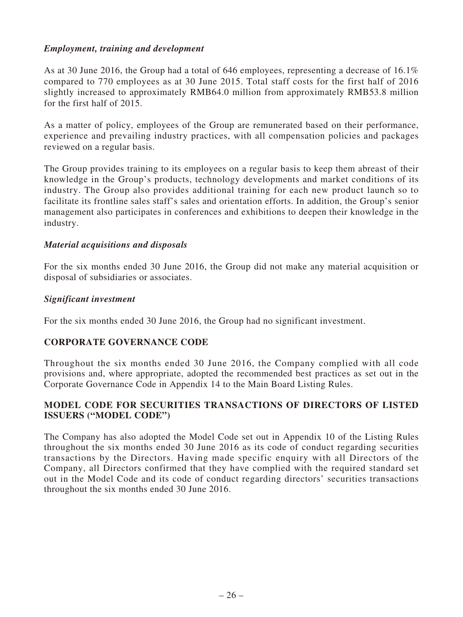### *Employment, training and development*

As at 30 June 2016, the Group had a total of 646 employees, representing a decrease of 16.1% compared to 770 employees as at 30 June 2015. Total staff costs for the first half of 2016 slightly increased to approximately RMB64.0 million from approximately RMB53.8 million for the first half of 2015.

As a matter of policy, employees of the Group are remunerated based on their performance, experience and prevailing industry practices, with all compensation policies and packages reviewed on a regular basis.

The Group provides training to its employees on a regular basis to keep them abreast of their knowledge in the Group's products, technology developments and market conditions of its industry. The Group also provides additional training for each new product launch so to facilitate its frontline sales staff's sales and orientation efforts. In addition, the Group's senior management also participates in conferences and exhibitions to deepen their knowledge in the industry.

### *Material acquisitions and disposals*

For the six months ended 30 June 2016, the Group did not make any material acquisition or disposal of subsidiaries or associates.

#### *Significant investment*

For the six months ended 30 June 2016, the Group had no significant investment.

### **CORPORATE GOVERNANCE CODE**

Throughout the six months ended 30 June 2016, the Company complied with all code provisions and, where appropriate, adopted the recommended best practices as set out in the Corporate Governance Code in Appendix 14 to the Main Board Listing Rules.

### **MODEL CODE FOR SECURITIES TRANSACTIONS OF DIRECTORS OF LISTED ISSUERS ("MODEL CODE")**

The Company has also adopted the Model Code set out in Appendix 10 of the Listing Rules throughout the six months ended 30 June 2016 as its code of conduct regarding securities transactions by the Directors. Having made specific enquiry with all Directors of the Company, all Directors confirmed that they have complied with the required standard set out in the Model Code and its code of conduct regarding directors' securities transactions throughout the six months ended 30 June 2016.